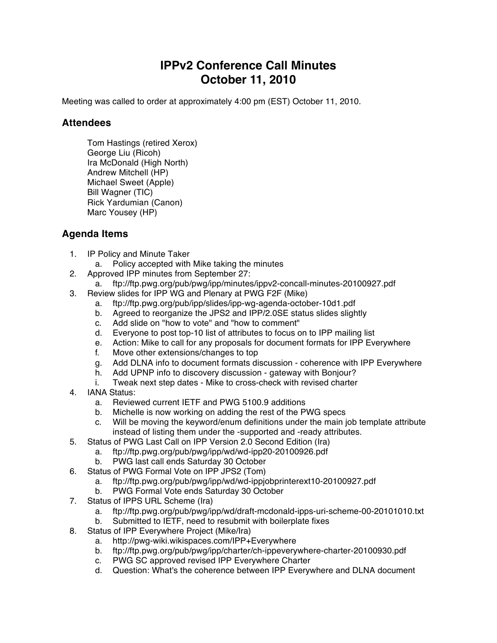## **IPPv2 Conference Call Minutes October 11, 2010**

Meeting was called to order at approximately 4:00 pm (EST) October 11, 2010.

## **Attendees**

Tom Hastings (retired Xerox) George Liu (Ricoh) Ira McDonald (High North) Andrew Mitchell (HP) Michael Sweet (Apple) Bill Wagner (TIC) Rick Yardumian (Canon) Marc Yousey (HP)

## **Agenda Items**

- 1. IP Policy and Minute Taker
	- a. Policy accepted with Mike taking the minutes
- 2. Approved IPP minutes from September 27:
	- a. ftp://ftp.pwg.org/pub/pwg/ipp/minutes/ippv2-concall-minutes-20100927.pdf
- 3. Review slides for IPP WG and Plenary at PWG F2F (Mike)
	- a. ftp://ftp.pwg.org/pub/ipp/slides/ipp-wg-agenda-october-10d1.pdf
	- b. Agreed to reorganize the JPS2 and IPP/2.0SE status slides slightly
	- c. Add slide on "how to vote" and "how to comment"
	- d. Everyone to post top-10 list of attributes to focus on to IPP mailing list
	- e. Action: Mike to call for any proposals for document formats for IPP Everywhere
	- f. Move other extensions/changes to top
	- g. Add DLNA info to document formats discussion coherence with IPP Everywhere
	- h. Add UPNP info to discovery discussion gateway with Bonjour?
	- i. Tweak next step dates Mike to cross-check with revised charter
- 4. IANA Status:
	- a. Reviewed current IETF and PWG 5100.9 additions
	- b. Michelle is now working on adding the rest of the PWG specs
	- c. Will be moving the keyword/enum definitions under the main job template attribute instead of listing them under the -supported and -ready attributes.
- 5. Status of PWG Last Call on IPP Version 2.0 Second Edition (Ira)
	- a. ftp://ftp.pwg.org/pub/pwg/ipp/wd/wd-ipp20-20100926.pdf
		- b. PWG last call ends Saturday 30 October
- 6. Status of PWG Formal Vote on IPP JPS2 (Tom)
	- a. ftp://ftp.pwg.org/pub/pwg/ipp/wd/wd-ippjobprinterext10-20100927.pdf
	- b. PWG Formal Vote ends Saturday 30 October
- 7. Status of IPPS URL Scheme (Ira)
	- a. ftp://ftp.pwg.org/pub/pwg/ipp/wd/draft-mcdonald-ipps-uri-scheme-00-20101010.txt
	- b. Submitted to IETF, need to resubmit with boilerplate fixes
- 8. Status of IPP Everywhere Project (Mike/Ira)
	- a. http://pwg-wiki.wikispaces.com/IPP+Everywhere
	- b. ftp://ftp.pwg.org/pub/pwg/ipp/charter/ch-ippeverywhere-charter-20100930.pdf
	- c. PWG SC approved revised IPP Everywhere Charter
	- d. Question: What's the coherence between IPP Everywhere and DLNA document